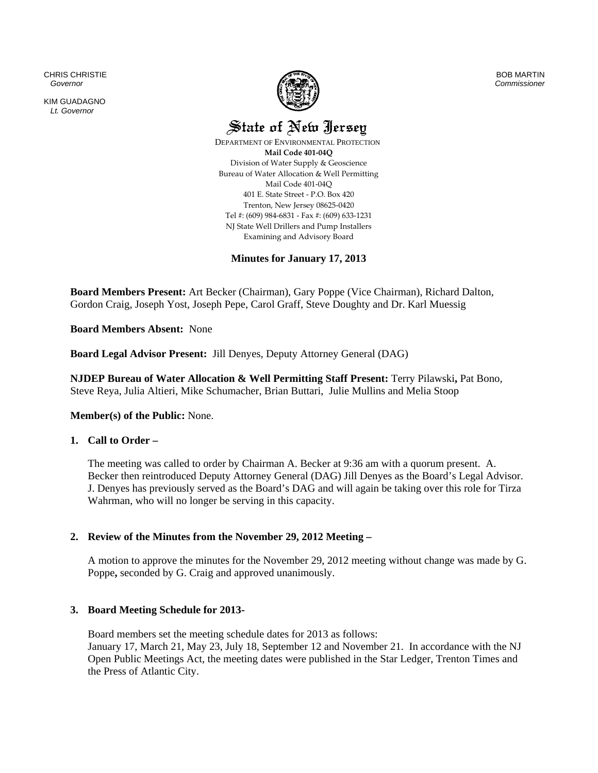CHRIS CHRISTIE  *Governor* 

KIM GUADAGNO *Lt. Governor* 



BOB MARTIN *Commissioner*

State of New Jersey

 DEPARTMENT OF ENVIRONMENTAL PROTECTION **Mail Code 401‐04Q** Division of Water Supply & Geoscience Bureau of Water Allocation & Well Permitting Mail Code 401‐04Q 401 E. State Street ‐ P.O. Box 420 Trenton, New Jersey 08625‐0420 Tel #: (609) 984‐6831 ‐ Fax #: (609) 633‐1231 NJ State Well Drillers and Pump Installers Examining and Advisory Board

**Minutes for January 17, 2013** 

**Board Members Present:** Art Becker (Chairman), Gary Poppe (Vice Chairman), Richard Dalton, Gordon Craig, Joseph Yost, Joseph Pepe, Carol Graff, Steve Doughty and Dr. Karl Muessig

**Board Members Absent:** None

**Board Legal Advisor Present:** Jill Denyes, Deputy Attorney General (DAG)

**NJDEP Bureau of Water Allocation & Well Permitting Staff Present:** Terry Pilawski**,** Pat Bono, Steve Reya, Julia Altieri, Mike Schumacher, Brian Buttari, Julie Mullins and Melia Stoop

# **Member(s) of the Public:** None.

# **1. Call to Order –**

The meeting was called to order by Chairman A. Becker at 9:36 am with a quorum present. A. Becker then reintroduced Deputy Attorney General (DAG) Jill Denyes as the Board's Legal Advisor. J. Denyes has previously served as the Board's DAG and will again be taking over this role for Tirza Wahrman, who will no longer be serving in this capacity.

# **2. Review of the Minutes from the November 29, 2012 Meeting –**

A motion to approve the minutes for the November 29, 2012 meeting without change was made by G. Poppe**,** seconded by G. Craig and approved unanimously.

# **3. Board Meeting Schedule for 2013-**

Board members set the meeting schedule dates for 2013 as follows: January 17, March 21, May 23, July 18, September 12 and November 21. In accordance with the NJ Open Public Meetings Act, the meeting dates were published in the Star Ledger, Trenton Times and the Press of Atlantic City.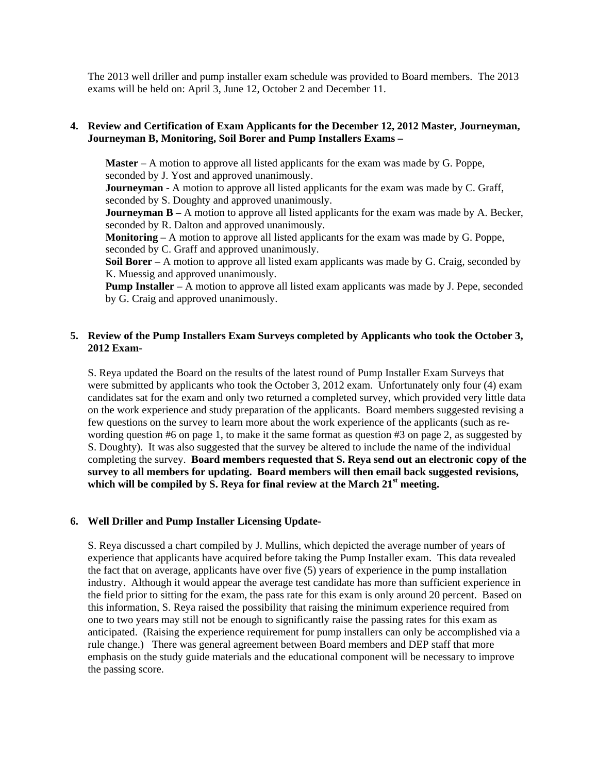The 2013 well driller and pump installer exam schedule was provided to Board members. The 2013 exams will be held on: April 3, June 12, October 2 and December 11.

# **4. Review and Certification of Exam Applicants for the December 12, 2012 Master, Journeyman, Journeyman B, Monitoring, Soil Borer and Pump Installers Exams –**

**Master** – A motion to approve all listed applicants for the exam was made by G. Poppe, seconded by J. Yost and approved unanimously.

**Journeyman -** A motion to approve all listed applicants for the exam was made by C. Graff, seconded by S. Doughty and approved unanimously.

**Journeyman B** – A motion to approve all listed applicants for the exam was made by A. Becker, seconded by R. Dalton and approved unanimously.

**Monitoring** – A motion to approve all listed applicants for the exam was made by G. Poppe, seconded by C. Graff and approved unanimously.

**Soil Borer** – A motion to approve all listed exam applicants was made by G. Craig, seconded by K. Muessig and approved unanimously.

**Pump Installer** – A motion to approve all listed exam applicants was made by J. Pepe, seconded by G. Craig and approved unanimously.

# **5. Review of the Pump Installers Exam Surveys completed by Applicants who took the October 3, 2012 Exam-**

S. Reya updated the Board on the results of the latest round of Pump Installer Exam Surveys that were submitted by applicants who took the October 3, 2012 exam. Unfortunately only four (4) exam candidates sat for the exam and only two returned a completed survey, which provided very little data on the work experience and study preparation of the applicants. Board members suggested revising a few questions on the survey to learn more about the work experience of the applicants (such as rewording question #6 on page 1, to make it the same format as question #3 on page 2, as suggested by S. Doughty). It was also suggested that the survey be altered to include the name of the individual completing the survey. **Board members requested that S. Reya send out an electronic copy of the survey to all members for updating. Board members will then email back suggested revisions,**  which will be compiled by S. Reya for final review at the March 21<sup>st</sup> meeting.

# **6. Well Driller and Pump Installer Licensing Update-**

S. Reya discussed a chart compiled by J. Mullins, which depicted the average number of years of experience that applicants have acquired before taking the Pump Installer exam. This data revealed the fact that on average, applicants have over five (5) years of experience in the pump installation industry. Although it would appear the average test candidate has more than sufficient experience in the field prior to sitting for the exam, the pass rate for this exam is only around 20 percent. Based on this information, S. Reya raised the possibility that raising the minimum experience required from one to two years may still not be enough to significantly raise the passing rates for this exam as anticipated. (Raising the experience requirement for pump installers can only be accomplished via a rule change.) There was general agreement between Board members and DEP staff that more emphasis on the study guide materials and the educational component will be necessary to improve the passing score.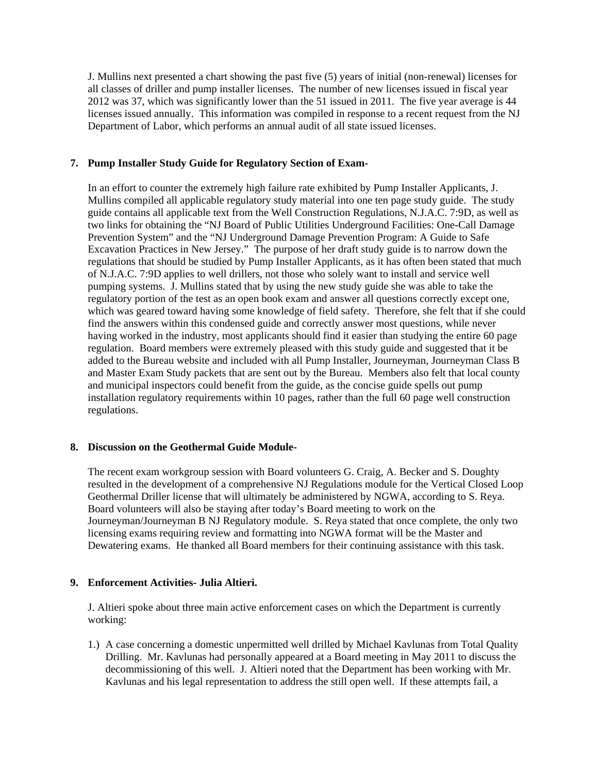J. Mullins next presented a chart showing the past five (5) years of initial (non-renewal) licenses for all classes of driller and pump installer licenses. The number of new licenses issued in fiscal year 2012 was 37, which was significantly lower than the 51 issued in 2011. The five year average is 44 licenses issued annually. This information was compiled in response to a recent request from the NJ Department of Labor, which performs an annual audit of all state issued licenses.

# **7. Pump Installer Study Guide for Regulatory Section of Exam-**

In an effort to counter the extremely high failure rate exhibited by Pump Installer Applicants, J. Mullins compiled all applicable regulatory study material into one ten page study guide. The study guide contains all applicable text from the Well Construction Regulations, N.J.A.C. 7:9D, as well as two links for obtaining the "NJ Board of Public Utilities Underground Facilities: One-Call Damage Prevention System" and the "NJ Underground Damage Prevention Program: A Guide to Safe Excavation Practices in New Jersey." The purpose of her draft study guide is to narrow down the regulations that should be studied by Pump Installer Applicants, as it has often been stated that much of N.J.A.C. 7:9D applies to well drillers, not those who solely want to install and service well pumping systems. J. Mullins stated that by using the new study guide she was able to take the regulatory portion of the test as an open book exam and answer all questions correctly except one, which was geared toward having some knowledge of field safety. Therefore, she felt that if she could find the answers within this condensed guide and correctly answer most questions, while never having worked in the industry, most applicants should find it easier than studying the entire 60 page regulation. Board members were extremely pleased with this study guide and suggested that it be added to the Bureau website and included with all Pump Installer, Journeyman, Journeyman Class B and Master Exam Study packets that are sent out by the Bureau. Members also felt that local county and municipal inspectors could benefit from the guide, as the concise guide spells out pump installation regulatory requirements within 10 pages, rather than the full 60 page well construction regulations.

#### **8. Discussion on the Geothermal Guide Module-**

The recent exam workgroup session with Board volunteers G. Craig, A. Becker and S. Doughty resulted in the development of a comprehensive NJ Regulations module for the Vertical Closed Loop Geothermal Driller license that will ultimately be administered by NGWA, according to S. Reya. Board volunteers will also be staying after today's Board meeting to work on the Journeyman/Journeyman B NJ Regulatory module. S. Reya stated that once complete, the only two licensing exams requiring review and formatting into NGWA format will be the Master and Dewatering exams. He thanked all Board members for their continuing assistance with this task.

# **9. Enforcement Activities- Julia Altieri.**

J. Altieri spoke about three main active enforcement cases on which the Department is currently working:

1.) A case concerning a domestic unpermitted well drilled by Michael Kavlunas from Total Quality Drilling. Mr. Kavlunas had personally appeared at a Board meeting in May 2011 to discuss the decommissioning of this well. J. Altieri noted that the Department has been working with Mr. Kavlunas and his legal representation to address the still open well. If these attempts fail, a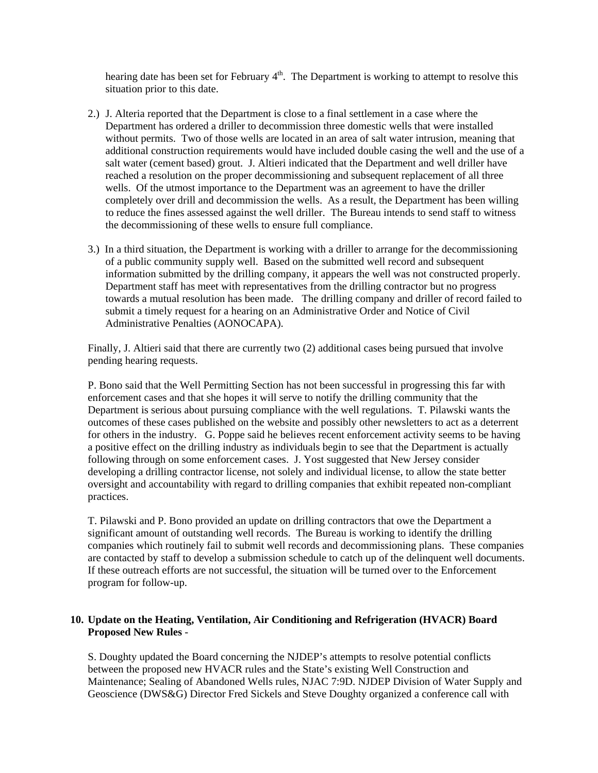hearing date has been set for February  $4<sup>th</sup>$ . The Department is working to attempt to resolve this situation prior to this date.

- 2.) J. Alteria reported that the Department is close to a final settlement in a case where the Department has ordered a driller to decommission three domestic wells that were installed without permits. Two of those wells are located in an area of salt water intrusion, meaning that additional construction requirements would have included double casing the well and the use of a salt water (cement based) grout. J. Altieri indicated that the Department and well driller have reached a resolution on the proper decommissioning and subsequent replacement of all three wells. Of the utmost importance to the Department was an agreement to have the driller completely over drill and decommission the wells. As a result, the Department has been willing to reduce the fines assessed against the well driller. The Bureau intends to send staff to witness the decommissioning of these wells to ensure full compliance.
- 3.) In a third situation, the Department is working with a driller to arrange for the decommissioning of a public community supply well. Based on the submitted well record and subsequent information submitted by the drilling company, it appears the well was not constructed properly. Department staff has meet with representatives from the drilling contractor but no progress towards a mutual resolution has been made. The drilling company and driller of record failed to submit a timely request for a hearing on an Administrative Order and Notice of Civil Administrative Penalties (AONOCAPA).

Finally, J. Altieri said that there are currently two (2) additional cases being pursued that involve pending hearing requests.

P. Bono said that the Well Permitting Section has not been successful in progressing this far with enforcement cases and that she hopes it will serve to notify the drilling community that the Department is serious about pursuing compliance with the well regulations. T. Pilawski wants the outcomes of these cases published on the website and possibly other newsletters to act as a deterrent for others in the industry. G. Poppe said he believes recent enforcement activity seems to be having a positive effect on the drilling industry as individuals begin to see that the Department is actually following through on some enforcement cases. J. Yost suggested that New Jersey consider developing a drilling contractor license, not solely and individual license, to allow the state better oversight and accountability with regard to drilling companies that exhibit repeated non-compliant practices.

T. Pilawski and P. Bono provided an update on drilling contractors that owe the Department a significant amount of outstanding well records. The Bureau is working to identify the drilling companies which routinely fail to submit well records and decommissioning plans. These companies are contacted by staff to develop a submission schedule to catch up of the delinquent well documents. If these outreach efforts are not successful, the situation will be turned over to the Enforcement program for follow-up.

# **10. Update on the Heating, Ventilation, Air Conditioning and Refrigeration (HVACR) Board Proposed New Rules** -

S. Doughty updated the Board concerning the NJDEP's attempts to resolve potential conflicts between the proposed new HVACR rules and the State's existing Well Construction and Maintenance; Sealing of Abandoned Wells rules, NJAC 7:9D. NJDEP Division of Water Supply and Geoscience (DWS&G) Director Fred Sickels and Steve Doughty organized a conference call with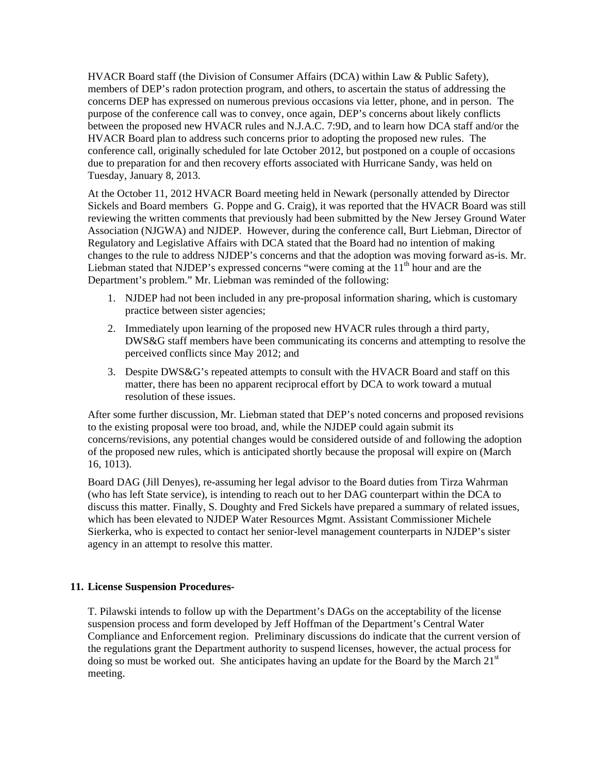HVACR Board staff (the Division of Consumer Affairs (DCA) within Law & Public Safety), members of DEP's radon protection program, and others, to ascertain the status of addressing the concerns DEP has expressed on numerous previous occasions via letter, phone, and in person. The purpose of the conference call was to convey, once again, DEP's concerns about likely conflicts between the proposed new HVACR rules and N.J.A.C. 7:9D, and to learn how DCA staff and/or the HVACR Board plan to address such concerns prior to adopting the proposed new rules. The conference call, originally scheduled for late October 2012, but postponed on a couple of occasions due to preparation for and then recovery efforts associated with Hurricane Sandy, was held on Tuesday, January 8, 2013.

At the October 11, 2012 HVACR Board meeting held in Newark (personally attended by Director Sickels and Board members G. Poppe and G. Craig), it was reported that the HVACR Board was still reviewing the written comments that previously had been submitted by the New Jersey Ground Water Association (NJGWA) and NJDEP. However, during the conference call, Burt Liebman, Director of Regulatory and Legislative Affairs with DCA stated that the Board had no intention of making changes to the rule to address NJDEP's concerns and that the adoption was moving forward as-is. Mr. Liebman stated that NJDEP's expressed concerns "were coming at the  $11<sup>th</sup>$  hour and are the Department's problem." Mr. Liebman was reminded of the following:

- 1. NJDEP had not been included in any pre-proposal information sharing, which is customary practice between sister agencies;
- 2. Immediately upon learning of the proposed new HVACR rules through a third party, DWS&G staff members have been communicating its concerns and attempting to resolve the perceived conflicts since May 2012; and
- 3. Despite DWS&G's repeated attempts to consult with the HVACR Board and staff on this matter, there has been no apparent reciprocal effort by DCA to work toward a mutual resolution of these issues.

After some further discussion, Mr. Liebman stated that DEP's noted concerns and proposed revisions to the existing proposal were too broad, and, while the NJDEP could again submit its concerns/revisions, any potential changes would be considered outside of and following the adoption of the proposed new rules, which is anticipated shortly because the proposal will expire on (March 16, 1013).

Board DAG (Jill Denyes), re-assuming her legal advisor to the Board duties from Tirza Wahrman (who has left State service), is intending to reach out to her DAG counterpart within the DCA to discuss this matter. Finally, S. Doughty and Fred Sickels have prepared a summary of related issues, which has been elevated to NJDEP Water Resources Mgmt. Assistant Commissioner Michele Sierkerka, who is expected to contact her senior-level management counterparts in NJDEP's sister agency in an attempt to resolve this matter.

# **11. License Suspension Procedures-**

T. Pilawski intends to follow up with the Department's DAGs on the acceptability of the license suspension process and form developed by Jeff Hoffman of the Department's Central Water Compliance and Enforcement region. Preliminary discussions do indicate that the current version of the regulations grant the Department authority to suspend licenses, however, the actual process for doing so must be worked out. She anticipates having an update for the Board by the March  $21<sup>st</sup>$ meeting.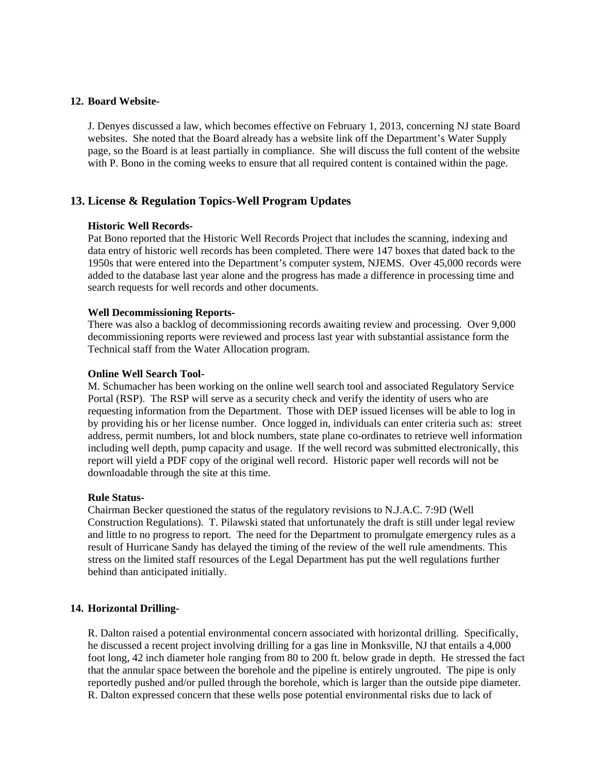#### **12. Board Website-**

J. Denyes discussed a law, which becomes effective on February 1, 2013, concerning NJ state Board websites. She noted that the Board already has a website link off the Department's Water Supply page, so the Board is at least partially in compliance. She will discuss the full content of the website with P. Bono in the coming weeks to ensure that all required content is contained within the page.

# **13. License & Regulation Topics-Well Program Updates**

#### **Historic Well Records-**

Pat Bono reported that the Historic Well Records Project that includes the scanning, indexing and data entry of historic well records has been completed. There were 147 boxes that dated back to the 1950s that were entered into the Department's computer system, NJEMS. Over 45,000 records were added to the database last year alone and the progress has made a difference in processing time and search requests for well records and other documents.

#### **Well Decommissioning Reports-**

There was also a backlog of decommissioning records awaiting review and processing. Over 9,000 decommissioning reports were reviewed and process last year with substantial assistance form the Technical staff from the Water Allocation program.

#### **Online Well Search Tool-**

M. Schumacher has been working on the online well search tool and associated Regulatory Service Portal (RSP). The RSP will serve as a security check and verify the identity of users who are requesting information from the Department. Those with DEP issued licenses will be able to log in by providing his or her license number. Once logged in, individuals can enter criteria such as: street address, permit numbers, lot and block numbers, state plane co-ordinates to retrieve well information including well depth, pump capacity and usage. If the well record was submitted electronically, this report will yield a PDF copy of the original well record. Historic paper well records will not be downloadable through the site at this time.

#### **Rule Status-**

Chairman Becker questioned the status of the regulatory revisions to N.J.A.C. 7:9D (Well Construction Regulations). T. Pilawski stated that unfortunately the draft is still under legal review and little to no progress to report. The need for the Department to promulgate emergency rules as a result of Hurricane Sandy has delayed the timing of the review of the well rule amendments. This stress on the limited staff resources of the Legal Department has put the well regulations further behind than anticipated initially.

# **14. Horizontal Drilling-**

R. Dalton raised a potential environmental concern associated with horizontal drilling. Specifically, he discussed a recent project involving drilling for a gas line in Monksville, NJ that entails a 4,000 foot long, 42 inch diameter hole ranging from 80 to 200 ft. below grade in depth. He stressed the fact that the annular space between the borehole and the pipeline is entirely ungrouted. The pipe is only reportedly pushed and/or pulled through the borehole, which is larger than the outside pipe diameter. R. Dalton expressed concern that these wells pose potential environmental risks due to lack of